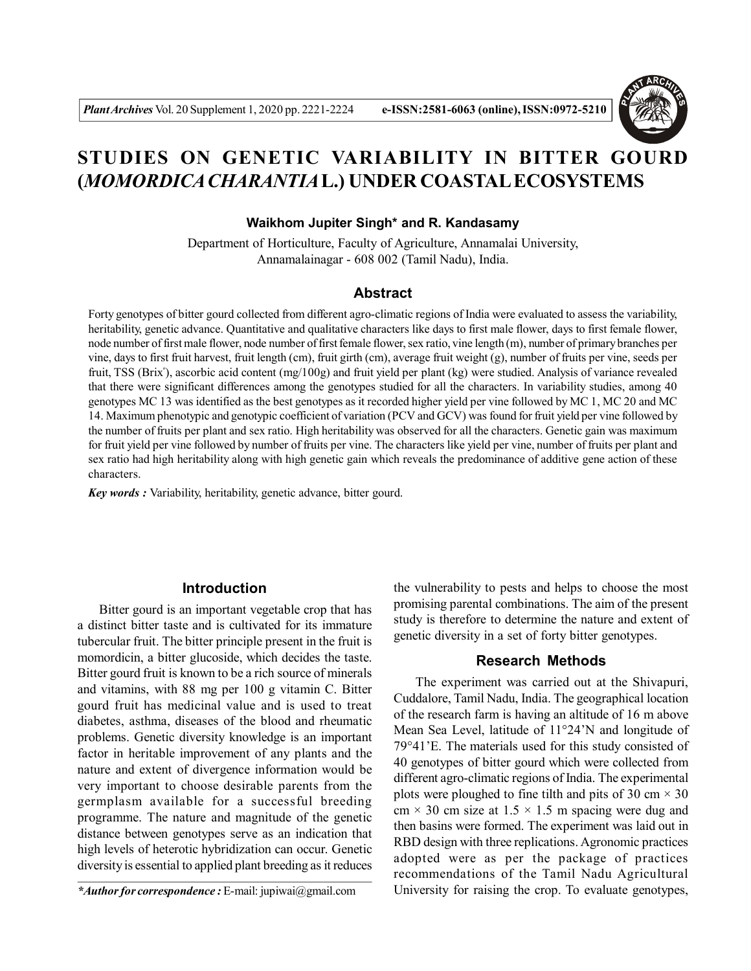

# **STUDIES ON GENETIC VARIABILITY IN BITTER GOURD (***MOMORDICA CHARANTIA***L.) UNDER COASTAL ECOSYSTEMS**

## **Waikhom Jupiter Singh\* and R. Kandasamy**

Department of Horticulture, Faculty of Agriculture, Annamalai University, Annamalainagar - 608 002 (Tamil Nadu), India.

## **Abstract**

Forty genotypes of bitter gourd collected from different agro-climatic regions of India were evaluated to assess the variability, heritability, genetic advance. Quantitative and qualitative characters like days to first male flower, days to first female flower, node number of first male flower, node number of first female flower, sex ratio, vine length (m), number of primary branches per vine, days to first fruit harvest, fruit length (cm), fruit girth (cm), average fruit weight (g), number of fruits per vine, seeds per fruit, TSS (Brix<sup>°</sup>), ascorbic acid content (mg/100g) and fruit yield per plant (kg) were studied. Analysis of variance revealed that there were significant differences among the genotypes studied for all the characters. In variability studies, among 40 genotypes MC 13 was identified as the best genotypes as it recorded higher yield per vine followed by MC 1, MC 20 and MC 14. Maximum phenotypic and genotypic coefficient of variation (PCV and GCV) was found for fruit yield per vine followed by the number of fruits per plant and sex ratio. High heritability was observed for all the characters. Genetic gain was maximum for fruit yield per vine followed by number of fruits per vine. The characters like yield per vine, number of fruits per plant and sex ratio had high heritability along with high genetic gain which reveals the predominance of additive gene action of these characters.

*Key words :* Variability, heritability, genetic advance, bitter gourd.

#### **Introduction**

Bitter gourd is an important vegetable crop that has a distinct bitter taste and is cultivated for its immature tubercular fruit. The bitter principle present in the fruit is momordicin, a bitter glucoside, which decides the taste. Bitter gourd fruit is known to be a rich source of minerals and vitamins, with 88 mg per 100 g vitamin C. Bitter gourd fruit has medicinal value and is used to treat diabetes, asthma, diseases of the blood and rheumatic problems. Genetic diversity knowledge is an important factor in heritable improvement of any plants and the nature and extent of divergence information would be very important to choose desirable parents from the germplasm available for a successful breeding programme. The nature and magnitude of the genetic distance between genotypes serve as an indication that high levels of heterotic hybridization can occur. Genetic diversity is essential to applied plant breeding as it reduces

the vulnerability to pests and helps to choose the most promising parental combinations. The aim of the present study is therefore to determine the nature and extent of genetic diversity in a set of forty bitter genotypes.

### **Research Methods**

The experiment was carried out at the Shivapuri, Cuddalore, Tamil Nadu, India. The geographical location of the research farm is having an altitude of 16 m above Mean Sea Level, latitude of 11°24'N and longitude of 79°41'E. The materials used for this study consisted of 40 genotypes of bitter gourd which were collected from different agro-climatic regions of India. The experimental plots were ploughed to fine tilth and pits of 30 cm  $\times$  30 cm  $\times$  30 cm size at 1.5  $\times$  1.5 m spacing were dug and then basins were formed. The experiment was laid out in RBD design with three replications. Agronomic practices adopted were as per the package of practices recommendations of the Tamil Nadu Agricultural University for raising the crop. To evaluate genotypes,

*<sup>\*</sup>Author for correspondence :* E-mail: jupiwai@gmail.com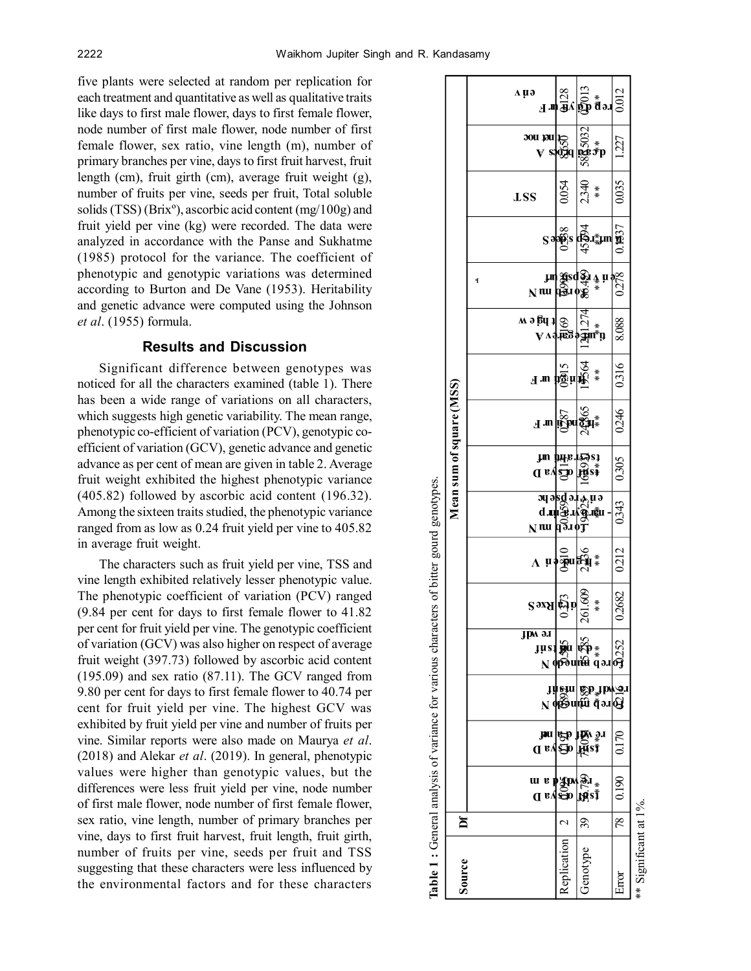five plants were selected at random per replication for each treatment and quantitative as well as qualitative traits like days to first male flower, days to first female flower, node number of first male flower, node number of first female flower, sex ratio, vine length (m), number of primary branches per vine, days to first fruit harvest, fruit length (cm), fruit girth (cm), average fruit weight (g), number of fruits per vine, seeds per fruit, Total soluble solids (TSS) (Brixº), ascorbic acid content (mg/100g) and fruit yield per vine (kg) were recorded. The data were analyzed in accordance with the Panse and Sukhatme (1985) protocol for the variance. The coefficient of phenotypic and genotypic variations was determined according to Burton and De Vane (1953). Heritability and genetic advance were computed using the Johnson *et al*. (1955) formula.

## **Results and Discussion**

Significant difference between genotypes was noticed for all the characters examined (table 1). There has been a wide range of variations on all characters, which suggests high genetic variability. The mean range, phenotypic co-efficient of variation (PCV), genotypic coefficient of variation (GCV), genetic advance and genetic advance as per cent of mean are given in table 2. Average fruit weight exhibited the highest phenotypic variance (405.82) followed by ascorbic acid content (196.32). Among the sixteen traits studied, the phenotypic variance ranged from as low as 0.24 fruit yield per vine to 405.82 in average fruit weight.

The characters such as fruit yield per vine, TSS and vine length exhibited relatively lesser phenotypic value. The phenotypic coefficient of variation (PCV) ranged (9.84 per cent for days to first female flower to 41.82 per cent for fruit yield per vine. The genotypic coefficient of variation (GCV) was also higher on respect of average fruit weight (397.73) followed by ascorbic acid content (195.09) and sex ratio (87.11). The GCV ranged from 9.80 per cent for days to first female flower to 40.74 per cent for fruit yield per vine. The highest GCV was exhibited by fruit yield per vine and number of fruits per vine. Similar reports were also made on Maurya *et al*. (2018) and Alekar *et al*. (2019). In general, phenotypic values were higher than genotypic values, but the differences were less fruit yield per vine, node number of first male flower, node number of first female flower, sex ratio, vine length, number of primary branches per vine, days to first fruit harvest, fruit length, fruit girth, number of fruits per vine, seeds per fruit and TSS suggesting that these characters were less influenced by the environmental factors and for these characters

|                                                                                                                      | a ya                                     |                                                                   |                                                                                |                 |
|----------------------------------------------------------------------------------------------------------------------|------------------------------------------|-------------------------------------------------------------------|--------------------------------------------------------------------------------|-----------------|
|                                                                                                                      |                                          |                                                                   | ուն ան<br>Հայաստան առ                                                          | 0.012           |
| Mean sum of square (MSS)<br>Table 1 : General analysis of variance for various characters of bitter gourd genotypes. | et het noc                               |                                                                   | 58 <mark>8</mark> 5032<br>**                                                   | 1227            |
|                                                                                                                      | <b>LSS</b>                               | 0.054                                                             | 2.340<br>$*$                                                                   | 0.035           |
|                                                                                                                      |                                          | $S \rightarrow \stackrel{\infty}{\underset{\smile}{\text{op}}} S$ | $\frac{1}{2}$                                                                  | 0.1537          |
|                                                                                                                      | 1<br>$N$ nu                              | பை<br>மிசூல் க                                                    | $\overset{\mathbf{A}}{\ast}$ ii                                                | $\frac{8}{278}$ |
|                                                                                                                      | $M \ni \frac{1}{2}$                      |                                                                   | $V$ A3 123 21 141                                                              | 8.088           |
|                                                                                                                      | J M                                      | $\frac{15}{10}$ u                                                 | <b>党</b> 公<br>$*$                                                              | 0.316           |
|                                                                                                                      | $\mathbf{H}$ and                         | <b>DEA</b>                                                        | 24965                                                                          | 0246            |
|                                                                                                                      | tskarandiun<br>≰s∰ d⊆ya D                |                                                                   |                                                                                | 0.305           |
|                                                                                                                      | $N$ nu                                   |                                                                   | a a se d'a re le la<br>d'a se d'a re le<br>d'a d'a d'a re le la re le la re le | 0343            |
|                                                                                                                      | $\Lambda$ u popudaj                      |                                                                   | $*$                                                                            | 0212            |
|                                                                                                                      | S <sub>9X</sub> S                        | ស្ថិា<br>សូ                                                       | 261.609<br>$*$                                                                 | 0.2682          |
|                                                                                                                      | <b>JPM</b> an                            |                                                                   |                                                                                |                 |
|                                                                                                                      |                                          |                                                                   | 1 d⊠ntm d.əri&<br>1 danı Mə <sup>n</sup> də                                    |                 |
|                                                                                                                      |                                          |                                                                   | té Wilde<br>té Wilde<br>#2001<br>Įūsĩ                                          | 0.170           |
|                                                                                                                      | urephypwl<br>dev <mark>e</mark> epl<br>W |                                                                   | <b>BI</b><br>Fizî                                                              | 0.190           |
| ă                                                                                                                    |                                          | $\sim$                                                            | R                                                                              | $\frac{8}{2}$   |
| Source                                                                                                               |                                          | Replication                                                       | Genotype                                                                       | Error           |

\*\* Significant at 1%.

Significant at 1%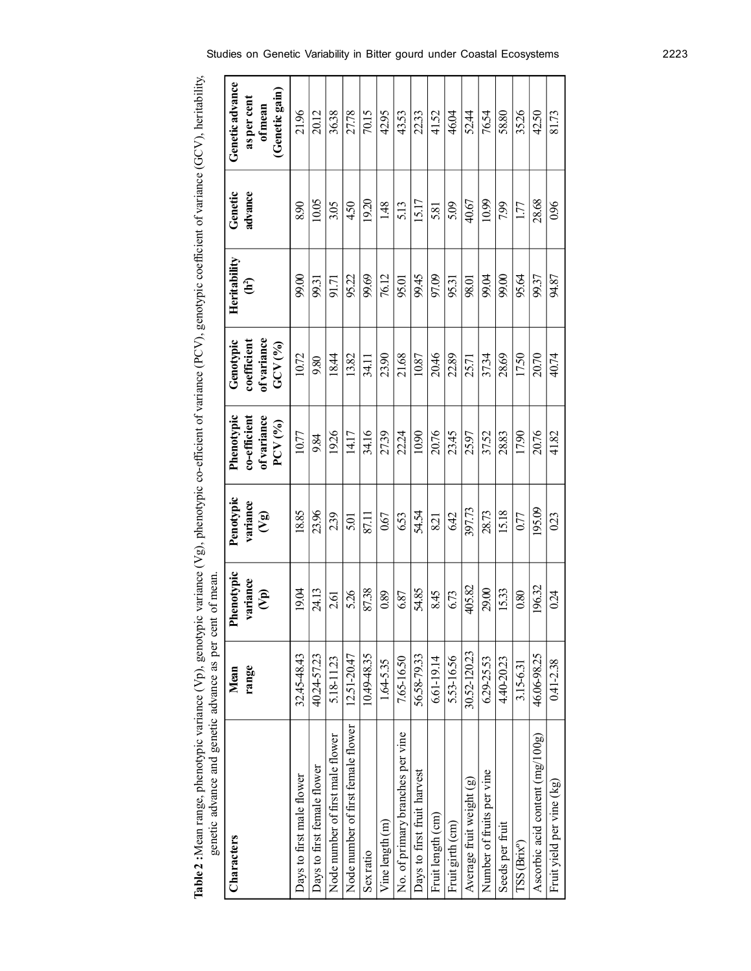| police d                           | Bunday and the fact of the same of the same of the same of the same of the same of the same of the same of the same of the same of the same of the same of the same of the same of the same of the same of the same of the sam |                                              |                              |                                                       |                                                   |                                |                    |                                                           |
|------------------------------------|--------------------------------------------------------------------------------------------------------------------------------------------------------------------------------------------------------------------------------|----------------------------------------------|------------------------------|-------------------------------------------------------|---------------------------------------------------|--------------------------------|--------------------|-----------------------------------------------------------|
| Characters                         | range<br>Mean                                                                                                                                                                                                                  | Phenotypic<br>variance<br>$\mathbf{\hat{e}}$ | Penotypic<br>variance<br>(5) | Phenotypic<br>$co-efficient$<br>of variance<br>PCV(%) | of variance<br>Genotypic<br>coefficient<br>GCV(%) | Heritability<br>$\mathbf{H}^2$ | Genetic<br>advance | Geneticadvance<br>(Genetic gain)<br>as per cent<br>ofmean |
| Days to first male flower          | 32.45-48.43                                                                                                                                                                                                                    | 19.04                                        | 18.85                        | 10.77                                                 | 10.72                                             | 99.00                          | 8.90               | 21.96                                                     |
| Days to first female flower        | 40.24-57.23                                                                                                                                                                                                                    | 24.13                                        | 23.96                        | 9.84                                                  | 9.80                                              | 99.31                          | 10.05              | 20.12                                                     |
| Node number of first male flower   | 5.18-11.23                                                                                                                                                                                                                     | 2.61                                         | 2.39                         | 1926                                                  | 18.44                                             | 91.71                          | 3.05               | 36.38                                                     |
| Node number of first female flower | 12.51-20.47                                                                                                                                                                                                                    | 526                                          | 5.01                         | 14.17                                                 | 13.82                                             | 95.22                          | 4.50               | 27.78                                                     |
| Sex ratio                          | 10.49-48.35                                                                                                                                                                                                                    | 87.38                                        | 87.11                        | 34.16                                                 | 34.11                                             | 99.69                          | 1920               | 70.15                                                     |
| Vine length (m)                    | $1.64 - 5.35$                                                                                                                                                                                                                  | 0.89                                         | 0.67                         | 27.39                                                 | 23.90                                             | 76.12                          | 1.48               | 42.95                                                     |
| No. of primary branches per vine   | 7.65-16.50                                                                                                                                                                                                                     | 6.87                                         | 6.53                         | 22.24                                                 | 21.68                                             | 95.01                          | 5.13               | 43.53                                                     |
| Days to first fruit harvest        | 56.58-79.33                                                                                                                                                                                                                    | 54.85                                        | 54.54                        | 10.90                                                 | 10.87                                             | 99.45                          | 15.17              | 22.33                                                     |
| Fruit length (cm)                  | 6.61-19.14                                                                                                                                                                                                                     | 8.45                                         | 821                          | 20.76                                                 | 20.46                                             | 97.09                          | 5.81               | 41.52                                                     |
| Fruit girth (cm)                   | 5.53-16.56                                                                                                                                                                                                                     | 6.73                                         | 6.42                         | 23.45                                                 | 22.89                                             | 95.31                          | 5.09               | 46.04                                                     |
| Average fruit weight (g)           | 30.52-120.23                                                                                                                                                                                                                   | 405.82                                       | 397.73                       | 25.97                                                 | 25.71                                             | 98.01                          | 40.67              | 52.44                                                     |
| Number of fruits per vine          | 6.29-25.53                                                                                                                                                                                                                     | 29.00                                        | 28.73                        | 37.52                                                 | 37.34                                             | 99.04                          | 10.99              | 76.54                                                     |
| Seeds per fruit                    | 4.40-2023                                                                                                                                                                                                                      | 15.33                                        | 15.18                        | 28.83                                                 | 28.69                                             | 99.00                          | 7.99               | 58.80                                                     |
| ISS (Brix <sup>o</sup> )           | 3.15-6.31                                                                                                                                                                                                                      | 0.80                                         | 0.77                         | 17.90                                                 | 17.50                                             | 95.64                          | 1.77               | 35.26                                                     |
| Ascorbic acid content $(mg/100g)$  | 46.06-98.25                                                                                                                                                                                                                    | 196.32                                       | 195.09                       | 20.76                                                 | 20.70                                             | 99.37                          | 28.68              | 42.50                                                     |
| Fruit yield per vine (kg)          | 0.41-2.38                                                                                                                                                                                                                      | 0.24                                         | 0.23                         | 41.82                                                 | 40.74                                             | 94.87                          | 0.96               | 81.73                                                     |

| - 11<br>1                                                                                                                                                      |                                                                          |
|----------------------------------------------------------------------------------------------------------------------------------------------------------------|--------------------------------------------------------------------------|
|                                                                                                                                                                |                                                                          |
|                                                                                                                                                                |                                                                          |
|                                                                                                                                                                |                                                                          |
|                                                                                                                                                                |                                                                          |
|                                                                                                                                                                |                                                                          |
| $\max_{\mathbf{a}} (U_{\mathbf{n}})$ $\max_{\mathbf{a}} (U_{\mathbf{n}})$                                                                                      |                                                                          |
| $\frac{1}{2}$<br>J<br>$\ddot{\phantom{0}}$                                                                                                                     | y en Anny                                                                |
| i<br>ג<br>$\frac{1}{2}$<br>)<br>,<br>$\overline{\phantom{a}}$<br>ׅׅׅ֧֧֧֧ׅ֧֧֧֧֧ׅ֧ׅ֧֧֧֧֧֧֧ׅ֧֧֧֛֪ׅ֧֛֚֚֚֚֚֚֚֚֚֚֚֚֚֚֚֚֚֚֚֡֡֡֡֡֡֡֡֡֬֓֡֬֓֡֬֝֬֝֓֝֬֝֓֝֬֓֝֬֝֬֝֬֝֬֝֬<br>) | senetic advance and genetic advance as ner ceni.<br>--------- and gener- |
| n.No<br>$\frac{5}{1}$<br>ጉ ե ե ո 1 թ<br>;<br>Ś                                                                                                                 |                                                                          |